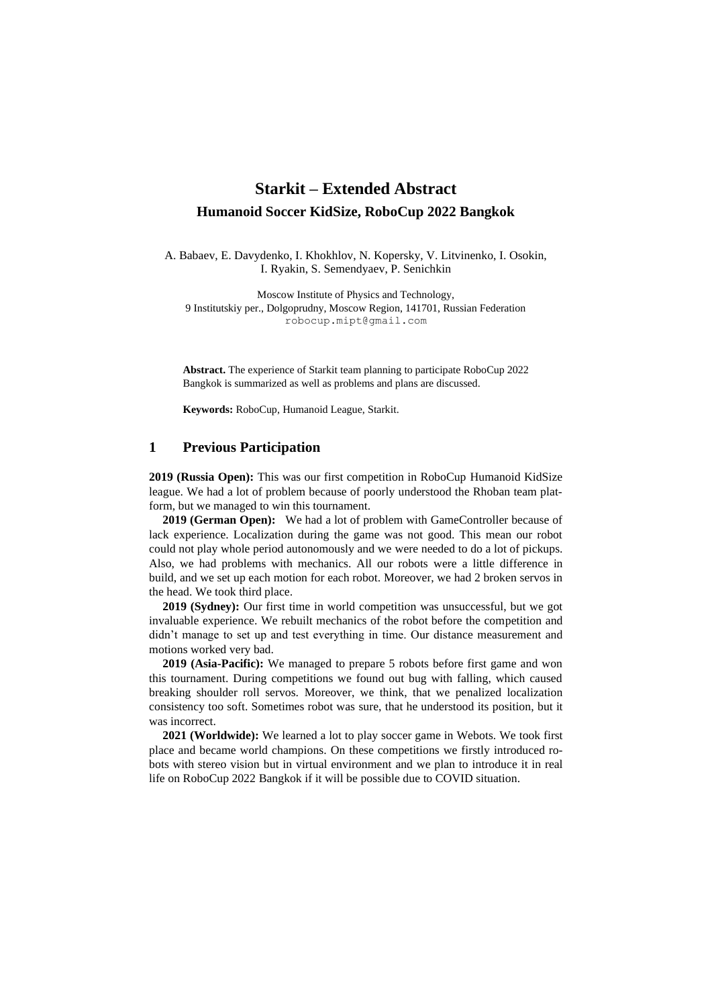## **Starkit – Extended Abstract Humanoid Soccer KidSize, RoboCup 2022 Bangkok**

A. Babaev, E. Davydenko, I. Khokhlov, N. Kopersky, V. Litvinenko, I. Osokin, I. Ryakin, S. Semendyaev, P. Senichkin

Moscow Institute of Physics and Technology, 9 Institutskiy per., Dolgoprudny, Moscow Region, 141701, Russian Federation robocup.mipt@gmail.com

**Abstract.** The experience of Starkit team planning to participate RoboCup 2022 Bangkok is summarized as well as problems and plans are discussed.

**Keywords:** RoboCup, Humanoid League, Starkit.

## **1 Previous Participation**

**2019 (Russia Open):** This was our first competition in RoboCup Humanoid KidSize league. We had a lot of problem because of poorly understood the Rhoban team platform, but we managed to win this tournament.

**2019 (German Open):** We had a lot of problem with GameController because of lack experience. Localization during the game was not good. This mean our robot could not play whole period autonomously and we were needed to do a lot of pickups. Also, we had problems with mechanics. All our robots were a little difference in build, and we set up each motion for each robot. Moreover, we had 2 broken servos in the head. We took third place.

**2019 (Sydney):** Our first time in world competition was unsuccessful, but we got invaluable experience. We rebuilt mechanics of the robot before the competition and didn't manage to set up and test everything in time. Our distance measurement and motions worked very bad.

**2019 (Asia-Pacific):** We managed to prepare 5 robots before first game and won this tournament. During competitions we found out bug with falling, which caused breaking shoulder roll servos. Moreover, we think, that we penalized localization consistency too soft. Sometimes robot was sure, that he understood its position, but it was incorrect.

**2021 (Worldwide):** We learned a lot to play soccer game in Webots. We took first place and became world champions. On these competitions we firstly introduced robots with stereo vision but in virtual environment and we plan to introduce it in real life on RoboCup 2022 Bangkok if it will be possible due to COVID situation.